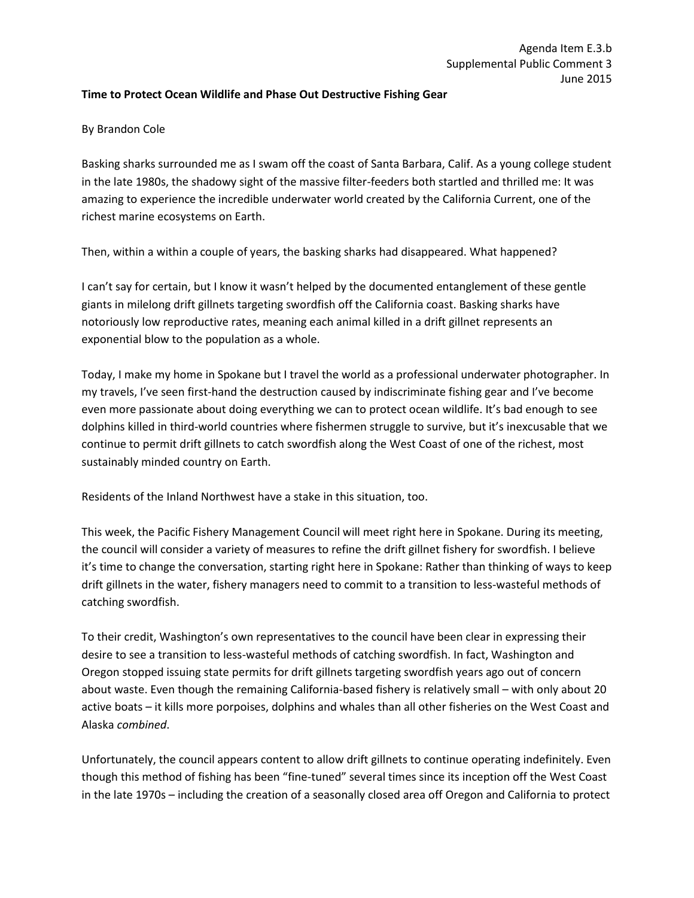## **Time to Protect Ocean Wildlife and Phase Out Destructive Fishing Gear**

## By Brandon Cole

Basking sharks surrounded me as I swam off the coast of Santa Barbara, Calif. As a young college student in the late 1980s, the shadowy sight of the massive filter-feeders both startled and thrilled me: It was amazing to experience the incredible underwater world created by the California Current, one of the richest marine ecosystems on Earth.

Then, within a within a couple of years, the basking sharks had disappeared. What happened?

I can't say for certain, but I know it wasn't helped by the documented entanglement of these gentle giants in milelong drift gillnets targeting swordfish off the California coast. Basking sharks have notoriously low reproductive rates, meaning each animal killed in a drift gillnet represents an exponential blow to the population as a whole.

Today, I make my home in Spokane but I travel the world as a professional underwater photographer. In my travels, I've seen first-hand the destruction caused by indiscriminate fishing gear and I've become even more passionate about doing everything we can to protect ocean wildlife. It's bad enough to see dolphins killed in third-world countries where fishermen struggle to survive, but it's inexcusable that we continue to permit drift gillnets to catch swordfish along the West Coast of one of the richest, most sustainably minded country on Earth.

Residents of the Inland Northwest have a stake in this situation, too.

This week, the Pacific Fishery Management Council will meet right here in Spokane. During its meeting, the council will consider a variety of measures to refine the drift gillnet fishery for swordfish. I believe it's time to change the conversation, starting right here in Spokane: Rather than thinking of ways to keep drift gillnets in the water, fishery managers need to commit to a transition to less-wasteful methods of catching swordfish.

To their credit, Washington's own representatives to the council have been clear in expressing their desire to see a transition to less-wasteful methods of catching swordfish. In fact, Washington and Oregon stopped issuing state permits for drift gillnets targeting swordfish years ago out of concern about waste. Even though the remaining California-based fishery is relatively small – with only about 20 active boats – it kills more porpoises, dolphins and whales than all other fisheries on the West Coast and Alaska *combined*.

Unfortunately, the council appears content to allow drift gillnets to continue operating indefinitely. Even though this method of fishing has been "fine-tuned" several times since its inception off the West Coast in the late 1970s – including the creation of a seasonally closed area off Oregon and California to protect